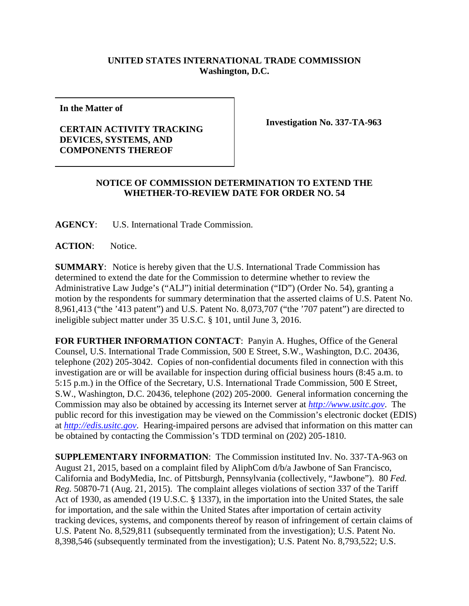## **UNITED STATES INTERNATIONAL TRADE COMMISSION Washington, D.C.**

**In the Matter of**

## **CERTAIN ACTIVITY TRACKING DEVICES, SYSTEMS, AND COMPONENTS THEREOF**

**Investigation No. 337-TA-963**

## **NOTICE OF COMMISSION DETERMINATION TO EXTEND THE WHETHER-TO-REVIEW DATE FOR ORDER NO. 54**

**AGENCY**: U.S. International Trade Commission.

**ACTION**: Notice.

**SUMMARY**: Notice is hereby given that the U.S. International Trade Commission has determined to extend the date for the Commission to determine whether to review the Administrative Law Judge's ("ALJ") initial determination ("ID") (Order No. 54), granting a motion by the respondents for summary determination that the asserted claims of U.S. Patent No. 8,961,413 ("the '413 patent") and U.S. Patent No. 8,073,707 ("the '707 patent") are directed to ineligible subject matter under 35 U.S.C. § 101, until June 3, 2016.

**FOR FURTHER INFORMATION CONTACT**: Panyin A. Hughes, Office of the General Counsel, U.S. International Trade Commission, 500 E Street, S.W., Washington, D.C. 20436, telephone (202) 205-3042. Copies of non-confidential documents filed in connection with this investigation are or will be available for inspection during official business hours (8:45 a.m. to 5:15 p.m.) in the Office of the Secretary, U.S. International Trade Commission, 500 E Street, S.W., Washington, D.C. 20436, telephone (202) 205-2000. General information concerning the Commission may also be obtained by accessing its Internet server at *[http://www.usitc.gov](http://www.usitc.gov/)*. The public record for this investigation may be viewed on the Commission's electronic docket (EDIS) at *[http://edis.usitc.gov](http://edis.usitc.gov/)*. Hearing-impaired persons are advised that information on this matter can be obtained by contacting the Commission's TDD terminal on (202) 205-1810.

**SUPPLEMENTARY INFORMATION**: The Commission instituted Inv. No. 337-TA-963 on August 21, 2015, based on a complaint filed by AliphCom d/b/a Jawbone of San Francisco, California and BodyMedia, Inc. of Pittsburgh, Pennsylvania (collectively, "Jawbone"). 80 *Fed. Reg.* 50870-71 (Aug. 21, 2015). The complaint alleges violations of section 337 of the Tariff Act of 1930, as amended (19 U.S.C. § 1337), in the importation into the United States, the sale for importation, and the sale within the United States after importation of certain activity tracking devices, systems, and components thereof by reason of infringement of certain claims of U.S. Patent No. 8,529,811 (subsequently terminated from the investigation); U.S. Patent No. 8,398,546 (subsequently terminated from the investigation); U.S. Patent No. 8,793,522; U.S.